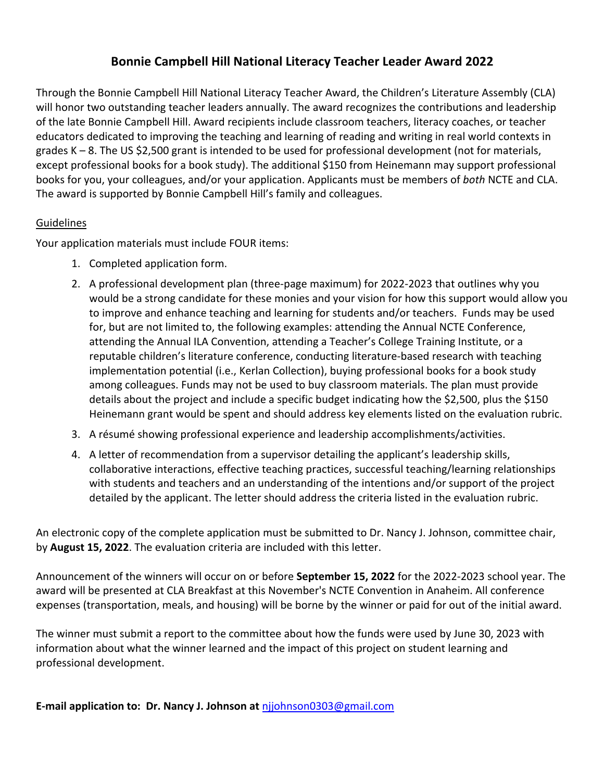# **Bonnie Campbell Hill National Literacy Teacher Leader Award 2022**

Through the Bonnie Campbell Hill National Literacy Teacher Award, the Children's Literature Assembly (CLA) will honor two outstanding teacher leaders annually. The award recognizes the contributions and leadership of the late Bonnie Campbell Hill. Award recipients include classroom teachers, literacy coaches, or teacher educators dedicated to improving the teaching and learning of reading and writing in real world contexts in grades K – 8. The US \$2,500 grant is intended to be used for professional development (not for materials, except professional books for a book study). The additional \$150 from Heinemann may support professional books for you, your colleagues, and/or your application. Applicants must be members of *both* NCTE and CLA. The award is supported by Bonnie Campbell Hill's family and colleagues.

## Guidelines

Your application materials must include FOUR items:

- 1. Completed application form.
- 2. A professional development plan (three-page maximum) for 2022-2023 that outlines why you would be a strong candidate for these monies and your vision for how this support would allow you to improve and enhance teaching and learning for students and/or teachers. Funds may be used for, but are not limited to, the following examples: attending the Annual NCTE Conference, attending the Annual ILA Convention, attending a Teacher's College Training Institute, or a reputable children's literature conference, conducting literature-based research with teaching implementation potential (i.e., Kerlan Collection), buying professional books for a book study among colleagues. Funds may not be used to buy classroom materials. The plan must provide details about the project and include a specific budget indicating how the \$2,500, plus the \$150 Heinemann grant would be spent and should address key elements listed on the evaluation rubric.
- 3. A résumé showing professional experience and leadership accomplishments/activities.
- 4. A letter of recommendation from a supervisor detailing the applicant's leadership skills, collaborative interactions, effective teaching practices, successful teaching/learning relationships with students and teachers and an understanding of the intentions and/or support of the project detailed by the applicant. The letter should address the criteria listed in the evaluation rubric.

An electronic copy of the complete application must be submitted to Dr. Nancy J. Johnson, committee chair, by **August 15, 2022**. The evaluation criteria are included with this letter.

Announcement of the winners will occur on or before **September 15, 2022** for the 2022-2023 school year. The award will be presented at CLA Breakfast at this November's NCTE Convention in Anaheim. All conference expenses (transportation, meals, and housing) will be borne by the winner or paid for out of the initial award.

The winner must submit a report to the committee about how the funds were used by June 30, 2023 with information about what the winner learned and the impact of this project on student learning and professional development.

**E-mail application to: Dr. Nancy J. Johnson at** njjohnson0303@gmail.com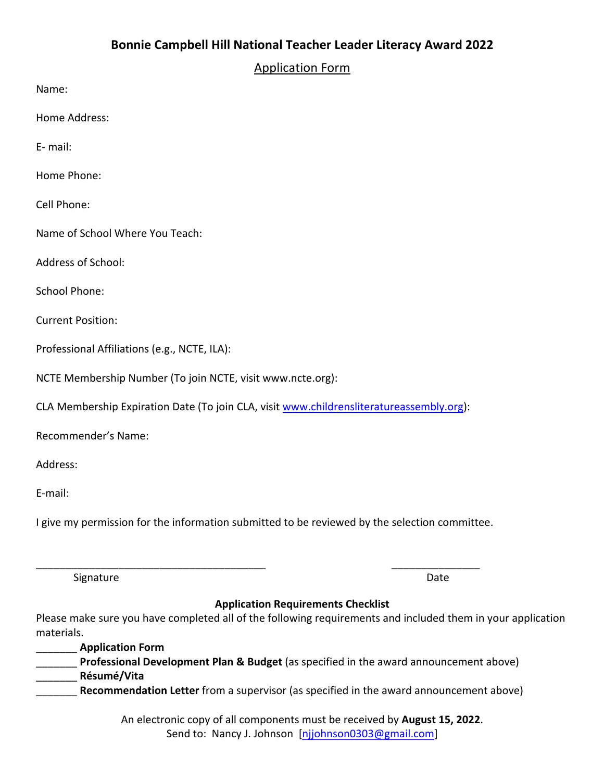# **Bonnie Campbell Hill National Teacher Leader Literacy Award 2022**

Application Form

Name:

Home Address:

E- mail:

Home Phone:

Cell Phone:

Name of School Where You Teach:

Address of School:

School Phone:

Current Position:

Professional Affiliations (e.g., NCTE, ILA):

NCTE Membership Number (To join NCTE, visit www.ncte.org):

CLA Membership Expiration Date (To join CLA, visit www.childrensliteratureassembly.org):

Recommender's Name:

Address:

E-mail:

I give my permission for the information submitted to be reviewed by the selection committee.

\_\_\_\_\_\_\_\_\_\_\_\_\_\_\_\_\_\_\_\_\_\_\_\_\_\_\_\_\_\_\_\_\_\_\_\_\_\_\_ \_\_\_\_\_\_\_\_\_\_\_\_\_\_\_

Signature **Date** 

#### **Application Requirements Checklist**

Please make sure you have completed all of the following requirements and included them in your application materials.

\_\_\_\_\_\_\_ **Application Form Professional Development Plan & Budget** (as specified in the award announcement above) \_\_\_\_\_\_\_ **Résumé/Vita** Recommendation Letter from a supervisor (as specified in the award announcement above)

> An electronic copy of all components must be received by **August 15, 2022**. Send to: Nancy J. Johnson [njjohnson0303@gmail.com]